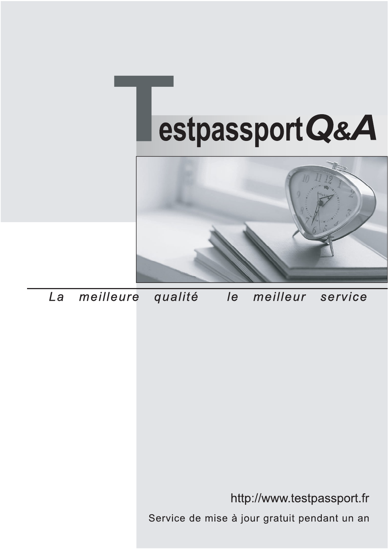



meilleure La qualité  $\overline{e}$ meilleur service

http://www.testpassport.fr

Service de mise à jour gratuit pendant un an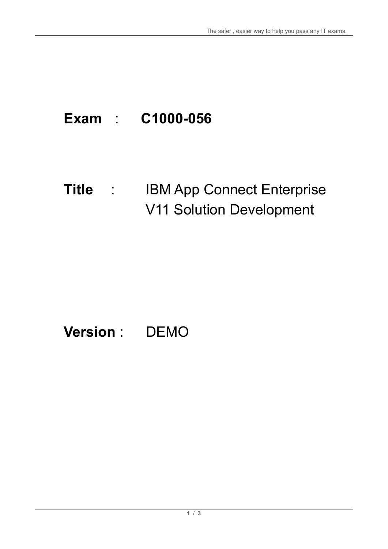# **Exam** : **C1000-056**

### **Title** : IBM App Connect Enterprise V11 Solution Development

## **Version** : DEMO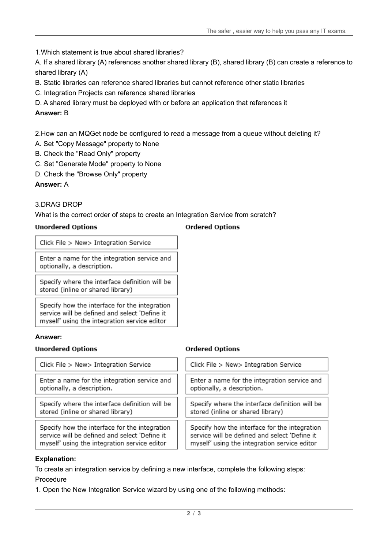1.Which statement is true about shared libraries?

A. If a shared library (A) references another shared library (B), shared library (B) can create a reference to shared library (A)

- B. Static libraries can reference shared libraries but cannot reference other static libraries
- C. Integration Projects can reference shared libraries
- D. A shared library must be deployed with or before an application that references it

#### **Answer:** B

2.How can an MQGet node be configured to read a message from a queue without deleting it?

- A. Set "Copy Message" property to None
- B. Check the "Read Only" property
- C. Set "Generate Mode" property to None
- D. Check the "Browse Only" property

#### **Answer:** A

#### 3.DRAG DROP

What is the correct order of steps to create an Integration Service from scratch?

#### **Unordered Options**

#### **Ordered Options**

Click File > New> Integration Service

Enter a name for the integration service and optionally, a description.

Specify where the interface definition will be stored (inline or shared library)

Specify how the interface for the integration service will be defined and select 'Define it myself' using the integration service editor

#### **Answer:**

#### **Unordered Options**

Click File > New> Integration Service

Enter a name for the integration service and optionally, a description.

Specify where the interface definition will be stored (inline or shared library)

Specify how the interface for the integration service will be defined and select 'Define it myself' using the integration service editor

#### **Ordered Options**

| Click File > New> Integration Service                                                                                                          |
|------------------------------------------------------------------------------------------------------------------------------------------------|
| Enter a name for the integration service and<br>optionally, a description.                                                                     |
| Specify where the interface definition will be<br>stored (inline or shared library)                                                            |
| Specify how the interface for the integration<br>service will be defined and select 'Define it<br>myself' using the integration service editor |

#### **Explanation:**

To create an integration service by defining a new interface, complete the following steps: Procedure

1. Open the New Integration Service wizard by using one of the following methods: